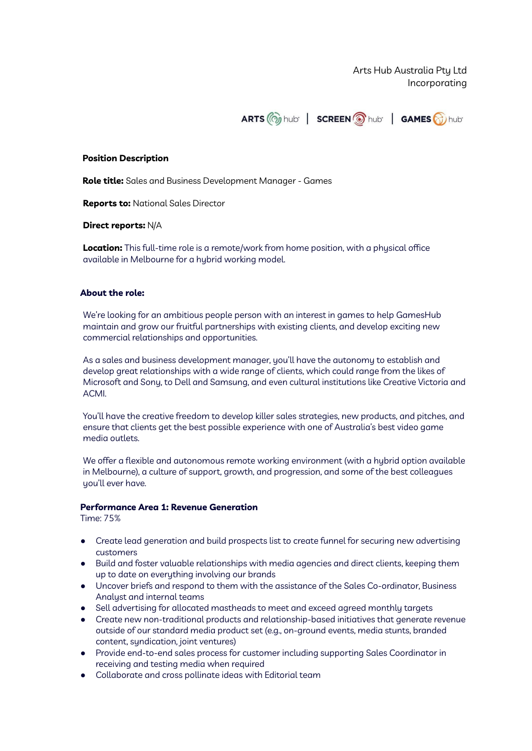Arts Hub Australia Pty Ltd Incorporating



#### **Position Description**

**Role title:** Sales and Business Development Manager - Games

**Reports to:** National Sales Director

**Direct reports:** N/A

**Location:** This full-time role is a remote/work from home position, with a physical office available in Melbourne for a hubrid working model.

#### **About the role:**

We're looking for an ambitious people person with an interest in games to help GamesHub maintain and grow our fruitful partnerships with existing clients, and develop exciting new commercial relationships and opportunities.

As a sales and business development manager, you'll have the autonomy to establish and develop great relationships with a wide range of clients, which could range from the likes of Microsoft and Sony, to Dell and Samsung, and even cultural institutions like Creative Victoria and ACMI.

You'll have the creative freedom to develop killer sales strategies, new products, and pitches, and ensure that clients get the best possible experience with one of Australia's best video game media outlets.

We offer a flexible and autonomous remote working environment (with a hybrid option available in Melbourne), a culture of support, growth, and progression, and some of the best colleagues you'll ever have.

# **Performance Area 1: Revenue Generation**

Time: 75%

- Create lead generation and build prospects list to create funnel for securing new advertising customers
- Build and foster valuable relationships with media agencies and direct clients, keeping them up to date on everything involving our brands
- Uncover briefs and respond to them with the assistance of the Sales Co-ordinator, Business Analyst and internal teams
- Sell advertising for allocated mastheads to meet and exceed agreed monthly targets
- Create new non-traditional products and relationship-based initiatives that generate revenue outside of our standard media product set (e.g., on-ground events, media stunts, branded content, syndication, joint ventures)
- Provide end-to-end sales process for customer including supporting Sales Coordinator in receiving and testing media when required
- Collaborate and cross pollinate ideas with Editorial team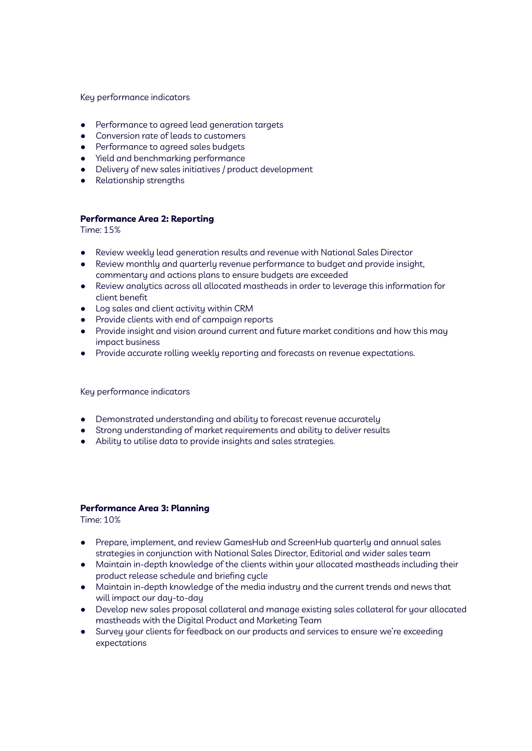Key performance indicators

- Performance to agreed lead generation targets
- Conversion rate of leads to customers
- Performance to agreed sales budgets
- Yield and benchmarking performance
- Delivery of new sales initiatives / product development
- Relationship strengths

# **Performance Area 2: Reporting**

Time: 15%

- Review weekly lead generation results and revenue with National Sales Director
- Review monthly and quarterly revenue performance to budget and provide insight, commentary and actions plans to ensure budgets are exceeded
- Review analytics across all allocated mastheads in order to leverage this information for client benefit
- Log sales and client activity within CRM
- Provide clients with end of campaign reports
- Provide insight and vision around current and future market conditions and how this may impact business
- Provide accurate rolling weekly reporting and forecasts on revenue expectations.

### Key performance indicators

- Demonstrated understanding and ability to forecast revenue accurately
- Strong understanding of market requirements and ability to deliver results
- Ability to utilise data to provide insights and sales strategies.

### **Performance Area 3: Planning**

Time: 10%

- Prepare, implement, and review GamesHub and ScreenHub quarterly and annual sales strategies in conjunction with National Sales Director, Editorial and wider sales team
- Maintain in-depth knowledge of the clients within your allocated mastheads including their product release schedule and briefing cycle
- Maintain in-depth knowledge of the media industry and the current trends and news that will impact our day-to-day
- Develop new sales proposal collateral and manage existing sales collateral for your allocated mastheads with the Digital Product and Marketing Team
- Survey your clients for feedback on our products and services to ensure we're exceeding expectations